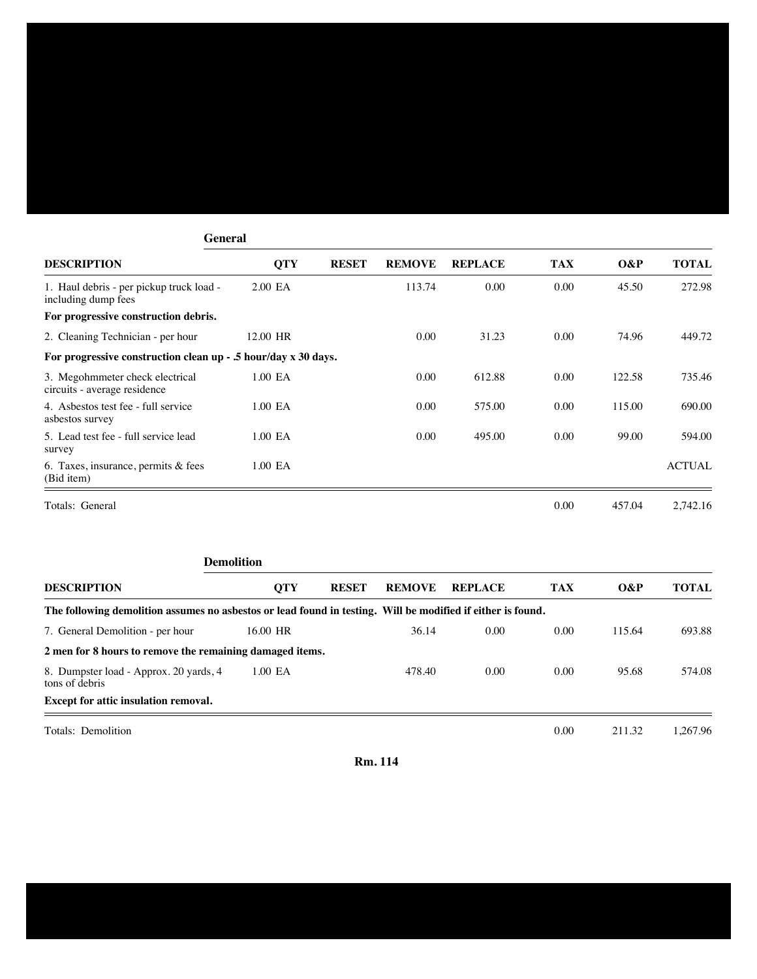## **General DESCRIPTION QTY RESET REMOVE REPLACE TAX O&P TOTAL** 1. Haul debris - per pickup truck load - 2.00 EA 113.74 0.00 0.00 45.50 272.98 including dump fees **For progressive construction debris.** 2. Cleaning Technician - per hour 12.00 HR 0.00 31.23 0.00 74.96 449.72 **For progressive construction clean up - .5 hour/day x 30 days.** 3. Megohmmeter check electrical 1.00 EA 0.00 612.88 0.00 122.58 735.46 circuits - average residence 4. Asbestos test fee - full service 1.00 EA 0.00 575.00 0.00 115.00 690.00 asbestos survey 5. Lead test fee - full service lead 1.00 EA 0.00 495.00 0.00 99.00 594.00 survey 6. Taxes, insurance, permits & fees 1.00 EA ACTUAL (Bid item) Totals: General 0.00 457.04 2,742.16

|                                                                                                             | <b>Demolition</b> |              |               |                |            |        |              |  |  |  |  |
|-------------------------------------------------------------------------------------------------------------|-------------------|--------------|---------------|----------------|------------|--------|--------------|--|--|--|--|
| <b>DESCRIPTION</b>                                                                                          | <b>OTY</b>        | <b>RESET</b> | <b>REMOVE</b> | <b>REPLACE</b> | <b>TAX</b> | $O\&P$ | <b>TOTAL</b> |  |  |  |  |
| The following demolition assumes no asbestos or lead found in testing. Will be modified if either is found. |                   |              |               |                |            |        |              |  |  |  |  |
| 7. General Demolition - per hour                                                                            | 16.00 HR          |              | 36.14         | 0.00           | 0.00       | 115.64 | 693.88       |  |  |  |  |
| 2 men for 8 hours to remove the remaining damaged items.                                                    |                   |              |               |                |            |        |              |  |  |  |  |
| 8. Dumpster load - Approx. 20 yards, 4<br>tons of debris                                                    | 1.00 EA           |              | 478.40        | 0.00           | 0.00       | 95.68  | 574.08       |  |  |  |  |
| <b>Except for attic insulation removal.</b>                                                                 |                   |              |               |                |            |        |              |  |  |  |  |
| Totals: Demolition                                                                                          |                   |              |               |                | 0.00       | 211.32 | 1.267.96     |  |  |  |  |

**Rm. 114**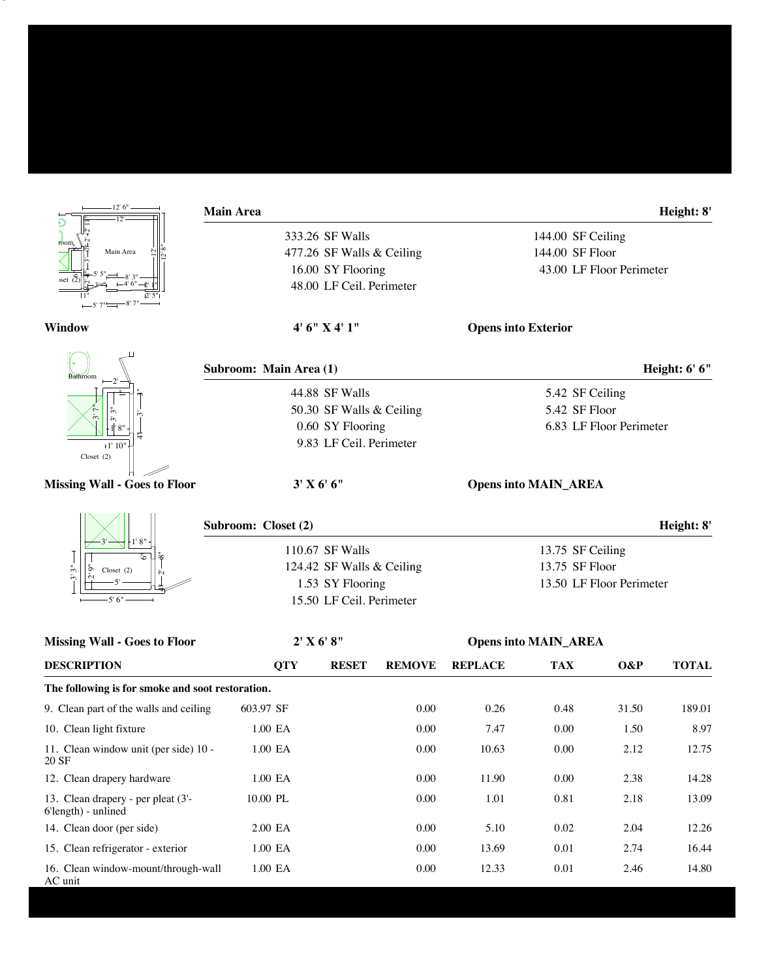| 12'6''<br>$\overline{12}$                                 | <b>Main Area</b>       |                                     |               |                          |                             |                         | Height: 8'   |  |
|-----------------------------------------------------------|------------------------|-------------------------------------|---------------|--------------------------|-----------------------------|-------------------------|--------------|--|
|                                                           |                        | 333.26 SF Walls                     |               | 144.00 SF Ceiling        |                             |                         |              |  |
| roon<br>Main Area                                         |                        | 477.26 SF Walls & Ceiling           |               | 144.00 SF Floor          |                             |                         |              |  |
|                                                           |                        | 16.00 SY Flooring                   |               | 43.00 LF Floor Perimeter |                             |                         |              |  |
|                                                           |                        | 48.00 LF Ceil. Perimeter            |               |                          |                             |                         |              |  |
| Window                                                    |                        | 4' 6" X 4' 1"                       |               |                          | <b>Opens into Exterior</b>  |                         |              |  |
| Bathroom                                                  | Subroom: Main Area (1) |                                     |               |                          | Height: 6' 6"               |                         |              |  |
|                                                           |                        | 44.88 SF Walls                      |               |                          | 5.42 SF Ceiling             |                         |              |  |
|                                                           |                        | 50.30 SF Walls & Ceiling            |               |                          | 5.42 SF Floor               |                         |              |  |
|                                                           |                        | 0.60 SY Flooring                    |               |                          |                             | 6.83 LF Floor Perimeter |              |  |
| $+1' 10"$<br>Closet $(2)$                                 |                        | 9.83 LF Ceil. Perimeter             |               |                          |                             |                         |              |  |
| <b>Missing Wall - Goes to Floor</b>                       |                        | 3' X 6' 6''                         |               |                          | <b>Opens into MAIN_AREA</b> |                         |              |  |
|                                                           | Subroom: Closet (2)    |                                     |               |                          |                             |                         | Height: 8'   |  |
|                                                           |                        | 110.67 SF Walls<br>13.75 SF Ceiling |               |                          |                             |                         |              |  |
| $\tilde{5}^n$<br>ā<br>Closet $(2)$                        |                        | 124.42 SF Walls & Ceiling           |               |                          | 13.75 SF Floor              |                         |              |  |
| ی                                                         |                        | 1.53 SY Flooring                    |               | 13.50 LF Floor Perimeter |                             |                         |              |  |
| $-5'6''$                                                  |                        | 15.50 LF Ceil. Perimeter            |               |                          |                             |                         |              |  |
| <b>Missing Wall - Goes to Floor</b>                       |                        | $2'$ X 6' 8"                        |               |                          | <b>Opens into MAIN_AREA</b> |                         |              |  |
| <b>DESCRIPTION</b>                                        | <b>QTY</b>             | <b>RESET</b>                        | <b>REMOVE</b> | <b>REPLACE</b>           | <b>TAX</b>                  | $O\&P$                  | <b>TOTAL</b> |  |
| The following is for smoke and soot restoration.          |                        |                                     |               |                          |                             |                         |              |  |
| 9. Clean part of the walls and ceiling                    | 603.97 SF              |                                     | 0.00          | 0.26                     | 0.48                        | 31.50                   | 189.01       |  |
| 10. Clean light fixture                                   | $1.00\,$ EA            |                                     | $0.00\,$      | 7.47                     | $0.00\,$                    | 1.50                    | 8.97         |  |
| 11. Clean window unit (per side) 10 -<br>20 SF            | $1.00\,$ EA            |                                     | $0.00\,$      | 10.63                    | $0.00\,$                    | 2.12                    | 12.75        |  |
| 12. Clean drapery hardware                                | 1.00 EA                |                                     | $0.00\,$      | 11.90                    | $0.00\,$                    | 2.38                    | 14.28        |  |
| 13. Clean drapery - per pleat (3'-<br>6'length) - unlined | $10.00$ $\rm PL$       |                                     | 0.00          | 1.01                     | 0.81                        | 2.18                    | 13.09        |  |

14. Clean door (per side) 2.00 EA 0.00 5.10 0.02 2.04 12.26

15. Clean refrigerator - exterior 1.00 EA 0.00 13.69 0.01 2.74 16.44 16. Clean window-mount/through-wall 1.00 EA 0.00 12.33 0.01 2.46 14.80

AC unit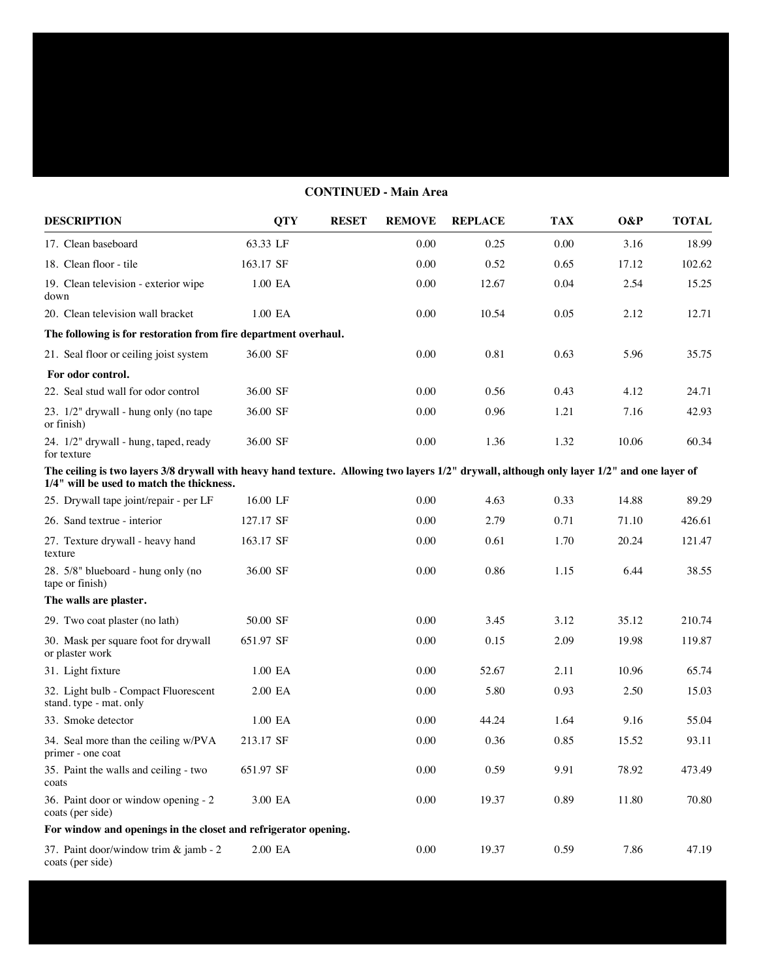## **CONTINUED - Main Area**

| <b>DESCRIPTION</b>                                                                                                                                                                      | <b>QTY</b> | <b>RESET</b> | <b>REMOVE</b> | <b>REPLACE</b> | <b>TAX</b> | O&P   | <b>TOTAL</b> |
|-----------------------------------------------------------------------------------------------------------------------------------------------------------------------------------------|------------|--------------|---------------|----------------|------------|-------|--------------|
| 17. Clean baseboard                                                                                                                                                                     | 63.33 LF   |              | 0.00          | 0.25           | 0.00       | 3.16  | 18.99        |
| 18. Clean floor - tile                                                                                                                                                                  | 163.17 SF  |              | 0.00          | 0.52           | 0.65       | 17.12 | 102.62       |
| 19. Clean television - exterior wipe<br>down                                                                                                                                            | 1.00 EA    |              | 0.00          | 12.67          | 0.04       | 2.54  | 15.25        |
| 20. Clean television wall bracket                                                                                                                                                       | 1.00 EA    |              | 0.00          | 10.54          | 0.05       | 2.12  | 12.71        |
| The following is for restoration from fire department overhaul.                                                                                                                         |            |              |               |                |            |       |              |
| 21. Seal floor or ceiling joist system                                                                                                                                                  | 36.00 SF   |              | 0.00          | 0.81           | 0.63       | 5.96  | 35.75        |
| For odor control.                                                                                                                                                                       |            |              |               |                |            |       |              |
| 22. Seal stud wall for odor control                                                                                                                                                     | 36.00 SF   |              | 0.00          | 0.56           | 0.43       | 4.12  | 24.71        |
| 23. 1/2" drywall - hung only (no tape<br>or finish)                                                                                                                                     | 36.00 SF   |              | 0.00          | 0.96           | 1.21       | 7.16  | 42.93        |
| 24. 1/2" drywall - hung, taped, ready<br>for texture                                                                                                                                    | 36.00 SF   |              | 0.00          | 1.36           | 1.32       | 10.06 | 60.34        |
| The ceiling is two layers 3/8 drywall with heavy hand texture. Allowing two layers 1/2" drywall, although only layer 1/2" and one layer of<br>1/4" will be used to match the thickness. |            |              |               |                |            |       |              |
| 25. Drywall tape joint/repair - per LF                                                                                                                                                  | 16.00 LF   |              | 0.00          | 4.63           | 0.33       | 14.88 | 89.29        |
| 26. Sand textrue - interior                                                                                                                                                             | 127.17 SF  |              | 0.00          | 2.79           | 0.71       | 71.10 | 426.61       |
| 27. Texture drywall - heavy hand<br>texture                                                                                                                                             | 163.17 SF  |              | 0.00          | 0.61           | 1.70       | 20.24 | 121.47       |
| 28. 5/8" blueboard - hung only (no<br>tape or finish)                                                                                                                                   | 36.00 SF   |              | 0.00          | 0.86           | 1.15       | 6.44  | 38.55        |
| The walls are plaster.                                                                                                                                                                  |            |              |               |                |            |       |              |
| 29. Two coat plaster (no lath)                                                                                                                                                          | 50.00 SF   |              | 0.00          | 3.45           | 3.12       | 35.12 | 210.74       |
| 30. Mask per square foot for drywall<br>or plaster work                                                                                                                                 | 651.97 SF  |              | 0.00          | 0.15           | 2.09       | 19.98 | 119.87       |
| 31. Light fixture                                                                                                                                                                       | 1.00 EA    |              | 0.00          | 52.67          | 2.11       | 10.96 | 65.74        |
| 32. Light bulb - Compact Fluorescent<br>stand. type - mat. only                                                                                                                         | 2.00 EA    |              | 0.00          | 5.80           | 0.93       | 2.50  | 15.03        |
| 33. Smoke detector                                                                                                                                                                      | 1.00 EA    |              | 0.00          | 44.24          | 1.64       | 9.16  | 55.04        |
| 34. Seal more than the ceiling w/PVA<br>primer - one coat                                                                                                                               | 213.17 SF  |              | 0.00          | 0.36           | 0.85       | 15.52 | 93.11        |
| 35. Paint the walls and ceiling - two<br>coats                                                                                                                                          | 651.97 SF  |              | $0.00\,$      | 0.59           | 9.91       | 78.92 | 473.49       |
| 36. Paint door or window opening - 2<br>coats (per side)                                                                                                                                | 3.00 EA    |              | $0.00\,$      | 19.37          | 0.89       | 11.80 | 70.80        |
| For window and openings in the closet and refrigerator opening.                                                                                                                         |            |              |               |                |            |       |              |
| 37. Paint door/window trim & jamb - 2<br>coats (per side)                                                                                                                               | 2.00 EA    |              | 0.00          | 19.37          | 0.59       | 7.86  | 47.19        |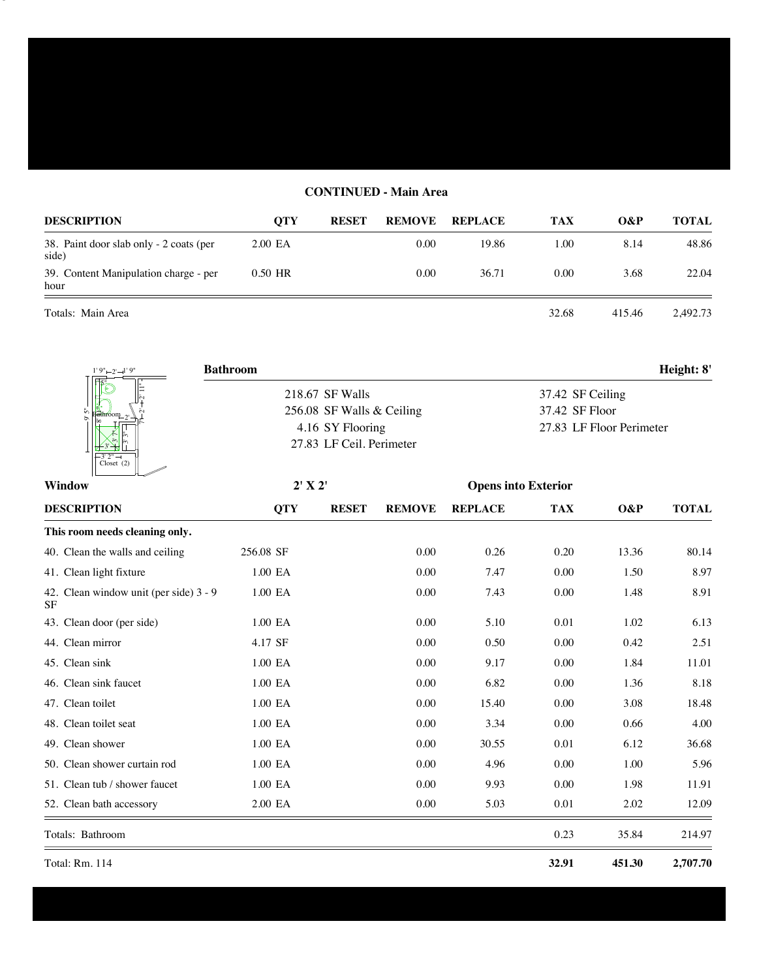## **CONTINUED - Main Area**

| <b>DESCRIPTION</b>                               | <b>OTY</b> | <b>RESET</b> | <b>REMOVE</b> | <b>REPLACE</b> | TAX   | O&P    | <b>TOTAL</b> |
|--------------------------------------------------|------------|--------------|---------------|----------------|-------|--------|--------------|
| 38. Paint door slab only - 2 coats (per<br>side) | 2.00 EA    |              | 0.00          | 19.86          | 1.00  | 8.14   | 48.86        |
| 39. Content Manipulation charge - per<br>hour    | 0.50 HR    |              | 0.00          | 36.71          | 0.00  | 3.68   | 22.04        |
| Totals: Main Area                                |            |              |               |                | 32.68 | 415.46 | 2.492.73     |

9' 5"

| $1'9'' - 2' - 1'9''$              | <b>Bathroom</b>           | Height: 8'               |
|-----------------------------------|---------------------------|--------------------------|
| 匝                                 | 218.67 SF Walls           | 37.42 SF Ceiling         |
| $\left(\frac{1}{2} \right)$       | 256.08 SF Walls & Ceiling | 37.42 SF Floor           |
| lδo                               | 4.16 SY Flooring          | 27.83 LF Floor Perimeter |
|                                   | 27.83 LF Ceil. Perimeter  |                          |
| $\sqrt{-3'2'' - 1}$<br>Closet (2) |                           |                          |

| <b>Window</b>                                       | 2' X 2'     |              |               | <b>Opens into Exterior</b> |            |        |              |
|-----------------------------------------------------|-------------|--------------|---------------|----------------------------|------------|--------|--------------|
| <b>DESCRIPTION</b>                                  | <b>QTY</b>  | <b>RESET</b> | <b>REMOVE</b> | <b>REPLACE</b>             | <b>TAX</b> | O&P    | <b>TOTAL</b> |
| This room needs cleaning only.                      |             |              |               |                            |            |        |              |
| 40. Clean the walls and ceiling                     | 256.08 SF   |              | 0.00          | 0.26                       | 0.20       | 13.36  | 80.14        |
| 41. Clean light fixture                             | $1.00\,$ EA |              | 0.00          | 7.47                       | 0.00       | 1.50   | 8.97         |
| 42. Clean window unit (per side) 3 - 9<br><b>SF</b> | 1.00 EA     |              | 0.00          | 7.43                       | 0.00       | 1.48   | 8.91         |
| 43. Clean door (per side)                           | 1.00 EA     |              | 0.00          | 5.10                       | 0.01       | 1.02   | 6.13         |
| 44. Clean mirror                                    | 4.17 SF     |              | 0.00          | 0.50                       | 0.00       | 0.42   | 2.51         |
| 45. Clean sink                                      | 1.00 EA     |              | 0.00          | 9.17                       | 0.00       | 1.84   | 11.01        |
| 46. Clean sink faucet                               | 1.00 EA     |              | 0.00          | 6.82                       | 0.00       | 1.36   | 8.18         |
| 47. Clean toilet                                    | 1.00 EA     |              | 0.00          | 15.40                      | 0.00       | 3.08   | 18.48        |
| 48. Clean toilet seat                               | 1.00 EA     |              | 0.00          | 3.34                       | 0.00       | 0.66   | 4.00         |
| 49. Clean shower                                    | 1.00 EA     |              | 0.00          | 30.55                      | 0.01       | 6.12   | 36.68        |
| 50. Clean shower curtain rod                        | 1.00 EA     |              | 0.00          | 4.96                       | 0.00       | 1.00   | 5.96         |
| 51. Clean tub / shower faucet                       | 1.00 EA     |              | 0.00          | 9.93                       | 0.00       | 1.98   | 11.91        |
| 52. Clean bath accessory                            | 2.00 EA     |              | 0.00          | 5.03                       | 0.01       | 2.02   | 12.09        |
| Totals: Bathroom                                    |             |              |               |                            | 0.23       | 35.84  | 214.97       |
| Total: Rm. 114                                      |             |              |               |                            | 32.91      | 451.30 | 2,707.70     |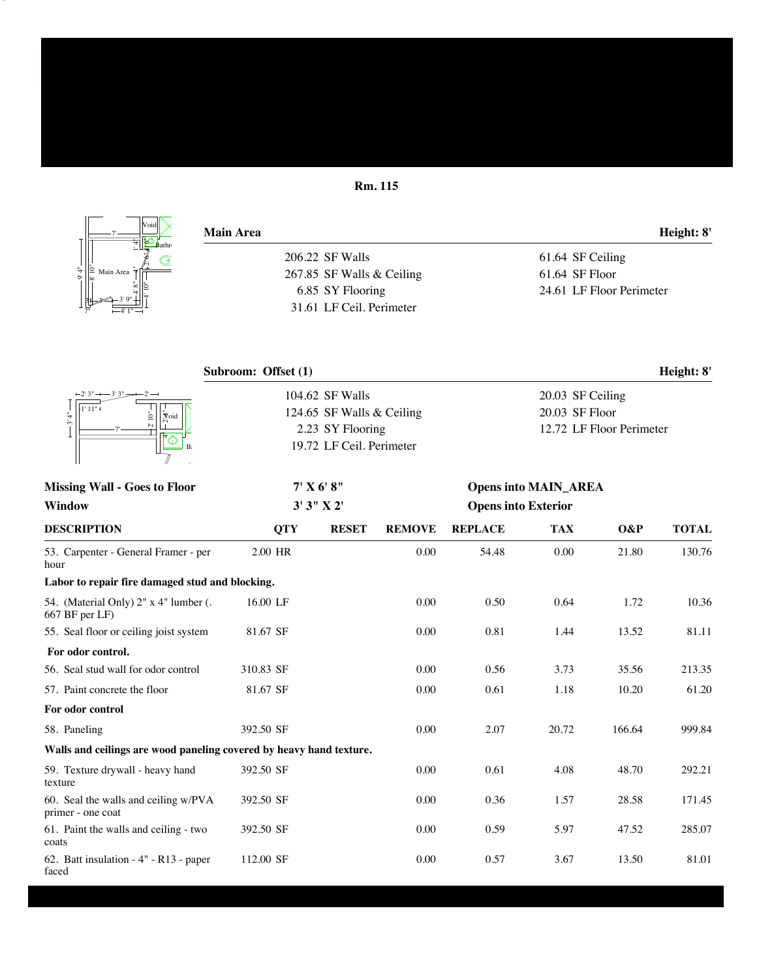## **Rm. 115**

| Void                        | <b>Main Area</b>          | Height: 8'               |
|-----------------------------|---------------------------|--------------------------|
| Bathr                       | 206.22 SF Walls           | 61.64 SF Ceiling         |
| ∣≘<br>Main Area<br>ā<br>Ĩδo | 267.85 SF Walls & Ceiling | 61.64 SF Floor           |
|                             | 6.85 SY Flooring          | 24.61 LF Floor Perimeter |
| $-4$ ' 1" $-$               | 31.61 LF Ceil. Perimeter  |                          |
|                             |                           |                          |
|                             | Subroom: Offset (1)       | Height: 8'               |

| $-3'3" -$                                                           |            | 104.62 SF Walls                             |               |                            | 20.03 SF Ceiling            |                          |              |  |  |  |
|---------------------------------------------------------------------|------------|---------------------------------------------|---------------|----------------------------|-----------------------------|--------------------------|--------------|--|--|--|
| $\ddot{=}$<br>$\sqrt{\frac{1}{\tilde{C}^2}}$                        |            | 20.03 SF Floor<br>124.65 SF Walls & Ceiling |               |                            |                             |                          |              |  |  |  |
| ين                                                                  |            | 2.23 SY Flooring                            |               |                            |                             | 12.72 LF Floor Perimeter |              |  |  |  |
|                                                                     |            | 19.72 LF Ceil. Perimeter                    |               |                            |                             |                          |              |  |  |  |
| <b>Missing Wall - Goes to Floor</b>                                 |            | 7' X 6' 8''                                 |               |                            | <b>Opens into MAIN_AREA</b> |                          |              |  |  |  |
| <b>Window</b>                                                       |            | 3'3'' X2'                                   |               | <b>Opens into Exterior</b> |                             |                          |              |  |  |  |
| <b>DESCRIPTION</b>                                                  | <b>QTY</b> | <b>RESET</b>                                | <b>REMOVE</b> | <b>REPLACE</b>             | <b>TAX</b>                  | O&P                      | <b>TOTAL</b> |  |  |  |
| 53. Carpenter - General Framer - per<br>hour                        | 2.00 HR    |                                             | 0.00          | 54.48                      | 0.00                        | 21.80                    | 130.76       |  |  |  |
| Labor to repair fire damaged stud and blocking.                     |            |                                             |               |                            |                             |                          |              |  |  |  |
| 54. (Material Only) 2" x 4" lumber (.<br>667 BF per LF)             | 16.00 LF   |                                             | 0.00          | 0.50                       | 0.64                        | 1.72                     | 10.36        |  |  |  |
| 55. Seal floor or ceiling joist system                              | 81.67 SF   |                                             | 0.00          | 0.81                       | 1.44                        | 13.52                    | 81.11        |  |  |  |
| For odor control.                                                   |            |                                             |               |                            |                             |                          |              |  |  |  |
| 56. Seal stud wall for odor control                                 | 310.83 SF  |                                             | 0.00          | 0.56                       | 3.73                        | 35.56                    | 213.35       |  |  |  |
| 57. Paint concrete the floor                                        | 81.67 SF   |                                             | 0.00          | 0.61                       | 1.18                        | 10.20                    | 61.20        |  |  |  |
| For odor control                                                    |            |                                             |               |                            |                             |                          |              |  |  |  |
| 58. Paneling                                                        | 392.50 SF  |                                             | 0.00          | 2.07                       | 20.72                       | 166.64                   | 999.84       |  |  |  |
| Walls and ceilings are wood paneling covered by heavy hand texture. |            |                                             |               |                            |                             |                          |              |  |  |  |
| 59. Texture drywall - heavy hand<br>texture                         | 392.50 SF  |                                             | 0.00          | 0.61                       | 4.08                        | 48.70                    | 292.21       |  |  |  |
| 60. Seal the walls and ceiling w/PVA<br>primer - one coat           | 392.50 SF  |                                             | 0.00          | 0.36                       | 1.57                        | 28.58                    | 171.45       |  |  |  |
| 61. Paint the walls and ceiling - two<br>coats                      | 392.50 SF  |                                             | 0.00          | 0.59                       | 5.97                        | 47.52                    | 285.07       |  |  |  |
| 62. Batt insulation - 4" - R13 - paper<br>faced                     | 112.00 SF  |                                             | 0.00          | 0.57                       | 3.67                        | 13.50                    | 81.01        |  |  |  |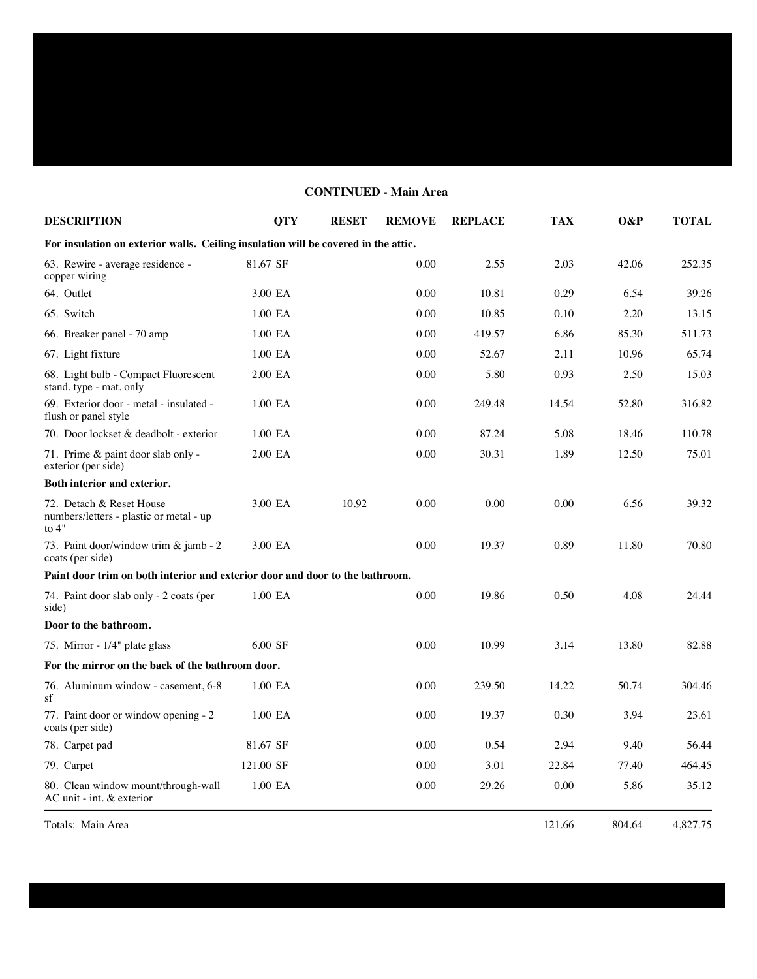## **DESCRIPTION QTY RESET REMOVE REPLACE TAX O&P TOTAL For insulation on exterior walls. Ceiling insulation will be covered in the attic.** 63. Rewire - average residence - 81.67 SF 0.00 2.55 2.03 42.06 252.35 copper wiring 64. Outlet 3.00 EA 0.00 10.81 0.29 6.54 39.26 65. Switch 1.00 EA 0.00 10.85 0.10 2.20 13.15 66. Breaker panel - 70 amp 1.00 EA 0.00 419.57 6.86 85.30 511.73 67. Light fixture 1.00 EA 0.00 52.67 2.11 10.96 65.74 68. Light bulb - Compact Fluorescent 2.00 EA 0.00 5.80 0.93 2.50 15.03 stand. type - mat. only 69. Exterior door - metal - insulated - 1.00 EA 0.00 249.48 14.54 52.80 316.82 flush or panel style 70. Door lockset & deadbolt - exterior 1.00 EA 0.00 87.24 5.08 18.46 110.78 71. Prime & paint door slab only - 2.00 EA 0.00 30.31 1.89 12.50 75.01 exterior (per side) **Both interior and exterior.** 72. Detach & Reset House 3.00 EA 10.92 0.00 0.00 0.00 6.56 39.32 numbers/letters - plastic or metal - up to 4" 73. Paint door/window trim & jamb - 2 3.00 EA 0.00 19.37 0.89 11.80 70.80 coats (per side) **Paint door trim on both interior and exterior door and door to the bathroom.** 74. Paint door slab only - 2 coats (per 1.00 EA 0.00 19.86 0.50 4.08 24.44 side) **Door to the bathroom.** 75. Mirror - 1/4" plate glass 6.00 SF 0.00 10.99 3.14 13.80 82.88 **For the mirror on the back of the bathroom door.** 76. Aluminum window - casement, 6-8 1.00 EA 0.00 239.50 14.22 50.74 304.46 sf 77. Paint door or window opening - 2 1.00 EA 0.00 19.37 0.30 3.94 23.61 coats (per side) 78. Carpet pad 81.67 SF 0.00 0.54 2.94 9.40 56.44 79. Carpet 121.00 SF 0.00 3.01 22.84 77.40 464.45 80. Clean window mount/through-wall 1.00 EA 0.00 29.26 0.00 5.86 35.12 AC unit - int. & exterior

**CONTINUED - Main Area**

Totals: Main Area 121.66 804.64 4,827.75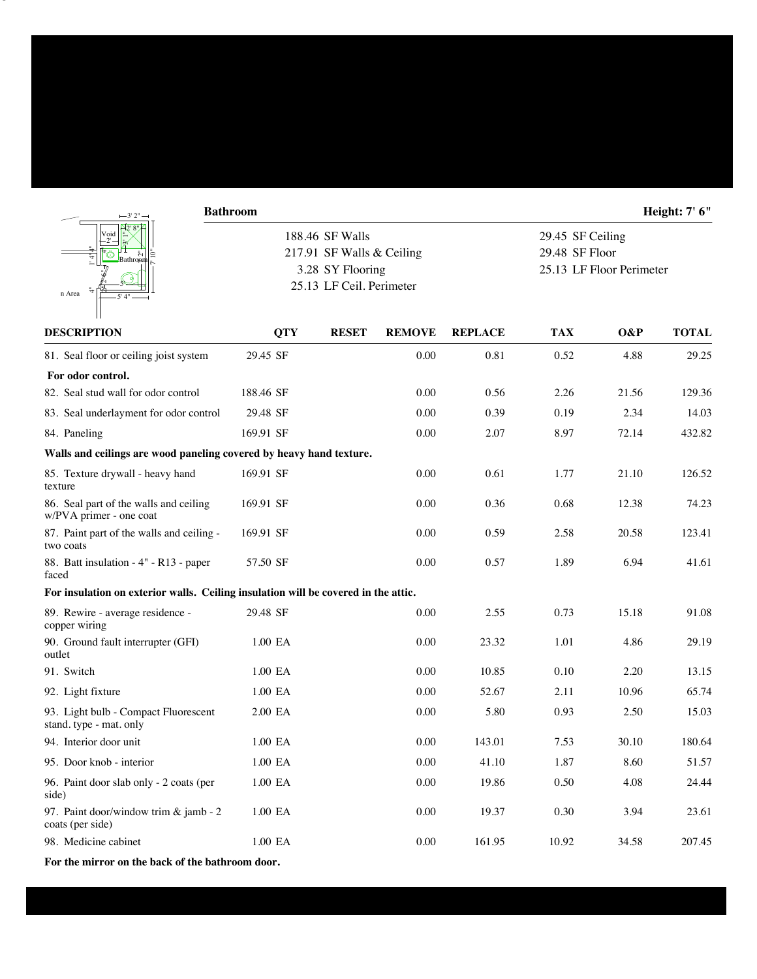|                                                                                    | <b>Bathroom</b> |                                              |               |                |            |                                    | Height: 7' 6" |  |  |
|------------------------------------------------------------------------------------|-----------------|----------------------------------------------|---------------|----------------|------------|------------------------------------|---------------|--|--|
|                                                                                    |                 | 188.46 SF Walls<br>217.91 SF Walls & Ceiling |               |                |            | 29.45 SF Ceiling<br>29.48 SF Floor |               |  |  |
| Bathron                                                                            |                 | 3.28 SY Flooring                             |               |                |            | 25.13 LF Floor Perimeter           |               |  |  |
| n Area                                                                             |                 | 25.13 LF Ceil. Perimeter                     |               |                |            |                                    |               |  |  |
|                                                                                    |                 |                                              |               |                |            |                                    |               |  |  |
| <b>DESCRIPTION</b>                                                                 | <b>QTY</b>      | <b>RESET</b>                                 | <b>REMOVE</b> | <b>REPLACE</b> | <b>TAX</b> | O&P                                | <b>TOTAL</b>  |  |  |
| 81. Seal floor or ceiling joist system                                             | 29.45 SF        |                                              | 0.00          | 0.81           | 0.52       | 4.88                               | 29.25         |  |  |
| For odor control.                                                                  |                 |                                              |               |                |            |                                    |               |  |  |
| 82. Seal stud wall for odor control                                                | 188.46 SF       |                                              | 0.00          | 0.56           | 2.26       | 21.56                              | 129.36        |  |  |
| 83. Seal underlayment for odor control                                             | 29.48 SF        |                                              | 0.00          | 0.39           | 0.19       | 2.34                               | 14.03         |  |  |
| 84. Paneling                                                                       | 169.91 SF       |                                              | 0.00          | 2.07           | 8.97       | 72.14                              | 432.82        |  |  |
| Walls and ceilings are wood paneling covered by heavy hand texture.                |                 |                                              |               |                |            |                                    |               |  |  |
| 85. Texture drywall - heavy hand<br>texture                                        | 169.91 SF       |                                              | 0.00          | 0.61           | 1.77       | 21.10                              | 126.52        |  |  |
| 86. Seal part of the walls and ceiling<br>w/PVA primer - one coat                  | 169.91 SF       |                                              | 0.00          | 0.36           | 0.68       | 12.38                              | 74.23         |  |  |
| 87. Paint part of the walls and ceiling -<br>two coats                             | 169.91 SF       |                                              | 0.00          | 0.59           | 2.58       | 20.58                              | 123.41        |  |  |
| 88. Batt insulation - 4" - R13 - paper<br>faced                                    | 57.50 SF        |                                              | 0.00          | 0.57           | 1.89       | 6.94                               | 41.61         |  |  |
| For insulation on exterior walls. Ceiling insulation will be covered in the attic. |                 |                                              |               |                |            |                                    |               |  |  |
| 89. Rewire - average residence -<br>copper wiring                                  | 29.48 SF        |                                              | 0.00          | 2.55           | 0.73       | 15.18                              | 91.08         |  |  |
| 90. Ground fault interrupter (GFI)<br>outlet                                       | 1.00 EA         |                                              | 0.00          | 23.32          | 1.01       | 4.86                               | 29.19         |  |  |
| 91. Switch                                                                         | 1.00 EA         |                                              | 0.00          | 10.85          | 0.10       | 2.20                               | 13.15         |  |  |
| 92. Light fixture                                                                  | 1.00 EA         |                                              | 0.00          | 52.67          | 2.11       | 10.96                              | 65.74         |  |  |
| 93. Light bulb - Compact Fluorescent<br>stand. type - mat. only                    | 2.00 EA         |                                              | 0.00          | 5.80           | 0.93       | 2.50                               | 15.03         |  |  |
| 94. Interior door unit                                                             | 1.00 EA         |                                              | 0.00          | 143.01         | 7.53       | 30.10                              | 180.64        |  |  |
| 95. Door knob - interior                                                           | 1.00 EA         |                                              | 0.00          | 41.10          | 1.87       | 8.60                               | 51.57         |  |  |
| 96. Paint door slab only - 2 coats (per<br>side)                                   | 1.00 EA         |                                              | 0.00          | 19.86          | 0.50       | 4.08                               | 24.44         |  |  |
| 97. Paint door/window trim & jamb - 2<br>coats (per side)                          | 1.00 EA         |                                              | 0.00          | 19.37          | 0.30       | 3.94                               | 23.61         |  |  |
| 98. Medicine cabinet                                                               | 1.00 EA         |                                              | 0.00          | 161.95         | 10.92      | 34.58                              | 207.45        |  |  |

**For the mirror on the back of the bathroom door.**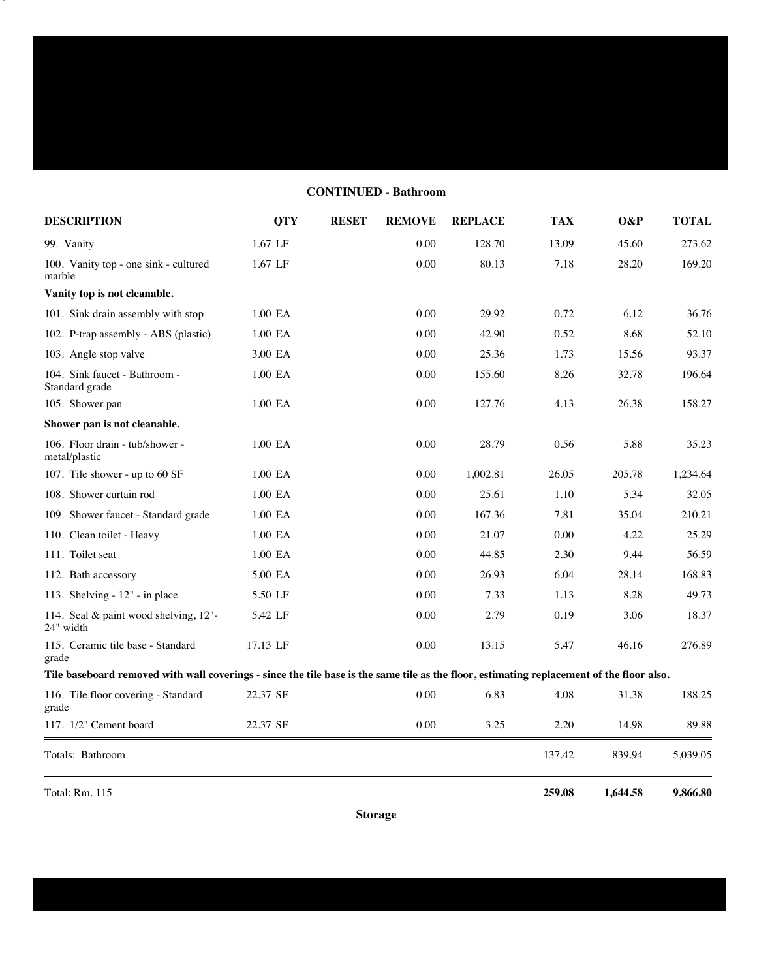# **CONTINUED - Bathroom**

| <b>DESCRIPTION</b>                                                                                                                        | <b>QTY</b>  | <b>RESET</b> | <b>REMOVE</b> | <b>REPLACE</b> | <b>TAX</b> | O&P      | <b>TOTAL</b> |
|-------------------------------------------------------------------------------------------------------------------------------------------|-------------|--------------|---------------|----------------|------------|----------|--------------|
| 99. Vanity                                                                                                                                | 1.67 LF     |              | 0.00          | 128.70         | 13.09      | 45.60    | 273.62       |
| 100. Vanity top - one sink - cultured<br>marble                                                                                           | 1.67 LF     |              | 0.00          | 80.13          | 7.18       | 28.20    | 169.20       |
| Vanity top is not cleanable.                                                                                                              |             |              |               |                |            |          |              |
| 101. Sink drain assembly with stop                                                                                                        | 1.00 EA     |              | 0.00          | 29.92          | 0.72       | 6.12     | 36.76        |
| 102. P-trap assembly - ABS (plastic)                                                                                                      | 1.00 EA     |              | 0.00          | 42.90          | 0.52       | 8.68     | 52.10        |
| 103. Angle stop valve                                                                                                                     | 3.00 EA     |              | 0.00          | 25.36          | 1.73       | 15.56    | 93.37        |
| 104. Sink faucet - Bathroom -<br>Standard grade                                                                                           | $1.00\,$ EA |              | 0.00          | 155.60         | 8.26       | 32.78    | 196.64       |
| 105. Shower pan                                                                                                                           | 1.00 EA     |              | 0.00          | 127.76         | 4.13       | 26.38    | 158.27       |
| Shower pan is not cleanable.                                                                                                              |             |              |               |                |            |          |              |
| 106. Floor drain - tub/shower -<br>metal/plastic                                                                                          | 1.00 EA     |              | 0.00          | 28.79          | 0.56       | 5.88     | 35.23        |
| 107. Tile shower - up to 60 SF                                                                                                            | 1.00 EA     |              | 0.00          | 1,002.81       | 26.05      | 205.78   | 1,234.64     |
| 108. Shower curtain rod                                                                                                                   | 1.00 EA     |              | 0.00          | 25.61          | 1.10       | 5.34     | 32.05        |
| 109. Shower faucet - Standard grade                                                                                                       | 1.00 EA     |              | 0.00          | 167.36         | 7.81       | 35.04    | 210.21       |
| 110. Clean toilet - Heavy                                                                                                                 | 1.00 EA     |              | 0.00          | 21.07          | 0.00       | 4.22     | 25.29        |
| 111. Toilet seat                                                                                                                          | 1.00 EA     |              | 0.00          | 44.85          | 2.30       | 9.44     | 56.59        |
| 112. Bath accessory                                                                                                                       | 5.00 EA     |              | 0.00          | 26.93          | 6.04       | 28.14    | 168.83       |
| 113. Shelving - 12" - in place                                                                                                            | 5.50 LF     |              | 0.00          | 7.33           | 1.13       | 8.28     | 49.73        |
| 114. Seal & paint wood shelving, 12"-<br>24" width                                                                                        | 5.42 LF     |              | 0.00          | 2.79           | 0.19       | 3.06     | 18.37        |
| 115. Ceramic tile base - Standard<br>grade                                                                                                | 17.13 LF    |              | 0.00          | 13.15          | 5.47       | 46.16    | 276.89       |
| Tile baseboard removed with wall coverings - since the tile base is the same tile as the floor, estimating replacement of the floor also. |             |              |               |                |            |          |              |
| 116. Tile floor covering - Standard<br>grade                                                                                              | 22.37 SF    |              | 0.00          | 6.83           | 4.08       | 31.38    | 188.25       |
| 117. 1/2" Cement board                                                                                                                    | 22.37 SF    |              | 0.00          | 3.25           | 2.20       | 14.98    | 89.88        |
| Totals: Bathroom                                                                                                                          |             |              |               |                | 137.42     | 839.94   | 5,039.05     |
| Total: Rm. 115                                                                                                                            |             |              |               |                | 259.08     | 1,644.58 | 9,866.80     |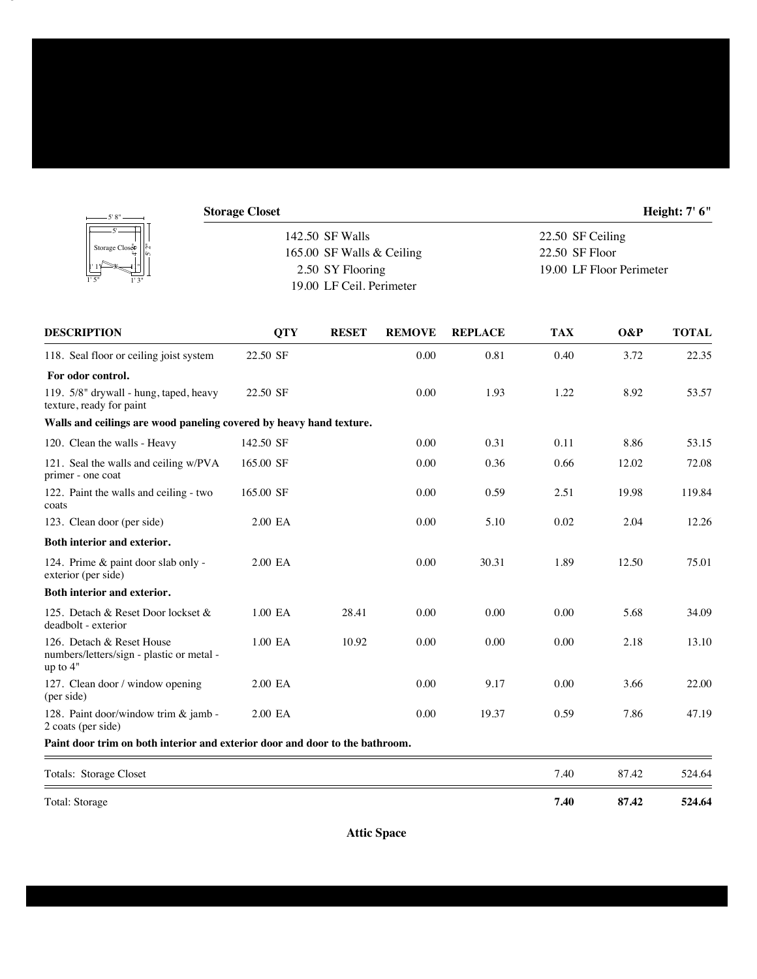| - 5' 8" –                                                                            | <b>Storage Closet</b> |                           |               |                |                  |                          | <b>Height: 7' 6"</b> |  |
|--------------------------------------------------------------------------------------|-----------------------|---------------------------|---------------|----------------|------------------|--------------------------|----------------------|--|
| Storage Closep                                                                       |                       | 142.50 SF Walls           |               |                | 22.50 SF Ceiling |                          |                      |  |
|                                                                                      |                       | 165.00 SF Walls & Ceiling |               |                | 22.50 SF Floor   |                          |                      |  |
|                                                                                      |                       | 2.50 SY Flooring          |               |                |                  | 19.00 LF Floor Perimeter |                      |  |
|                                                                                      |                       | 19.00 LF Ceil. Perimeter  |               |                |                  |                          |                      |  |
| <b>DESCRIPTION</b>                                                                   | <b>QTY</b>            | <b>RESET</b>              | <b>REMOVE</b> | <b>REPLACE</b> | <b>TAX</b>       | O&P                      | <b>TOTAL</b>         |  |
| 118. Seal floor or ceiling joist system                                              | 22.50 SF              |                           | 0.00          | 0.81           | 0.40             | 3.72                     | 22.35                |  |
| For odor control.                                                                    |                       |                           |               |                |                  |                          |                      |  |
| 119. 5/8" drywall - hung, taped, heavy<br>texture, ready for paint                   | 22.50 SF              |                           | 0.00          | 1.93           | 1.22             | 8.92                     | 53.57                |  |
| Walls and ceilings are wood paneling covered by heavy hand texture.                  |                       |                           |               |                |                  |                          |                      |  |
| 120. Clean the walls - Heavy                                                         | 142.50 SF             |                           | 0.00          | 0.31           | 0.11             | 8.86                     | 53.15                |  |
| 121. Seal the walls and ceiling w/PVA<br>primer - one coat                           | 165.00 SF             |                           | 0.00          | 0.36           | 0.66             | 12.02                    | 72.08                |  |
| 122. Paint the walls and ceiling - two<br>coats                                      | 165.00 SF             |                           | 0.00          | 0.59           | 2.51             | 19.98                    | 119.84               |  |
| 123. Clean door (per side)                                                           | 2.00 EA               |                           | 0.00          | 5.10           | 0.02             | 2.04                     | 12.26                |  |
| Both interior and exterior.                                                          |                       |                           |               |                |                  |                          |                      |  |
| 124. Prime & paint door slab only -<br>exterior (per side)                           | 2.00 EA               |                           | 0.00          | 30.31          | 1.89             | 12.50                    | 75.01                |  |
| Both interior and exterior.                                                          |                       |                           |               |                |                  |                          |                      |  |
| 125. Detach & Reset Door lockset &<br>deadbolt - exterior                            | 1.00 EA               | 28.41                     | 0.00          | 0.00           | 0.00             | 5.68                     | 34.09                |  |
| 126. Detach & Reset House<br>numbers/letters/sign - plastic or metal -<br>up to $4"$ | 1.00 EA               | 10.92                     | 0.00          | 0.00           | 0.00             | 2.18                     | 13.10                |  |
| 127. Clean door / window opening<br>(per side)                                       | 2.00 EA               |                           | 0.00          | 9.17           | 0.00             | 3.66                     | 22.00                |  |
| 128. Paint door/window trim & jamb -<br>2 coats (per side)                           | 2.00 EA               |                           | 0.00          | 19.37          | 0.59             | 7.86                     | 47.19                |  |
| Paint door trim on both interior and exterior door and door to the bathroom.         |                       |                           |               |                |                  |                          |                      |  |

| Totals: Storage Closet | 7.40 | 87.42 | 524.64 |
|------------------------|------|-------|--------|
| Total: Storage         | 7.40 | 87.42 | 524.64 |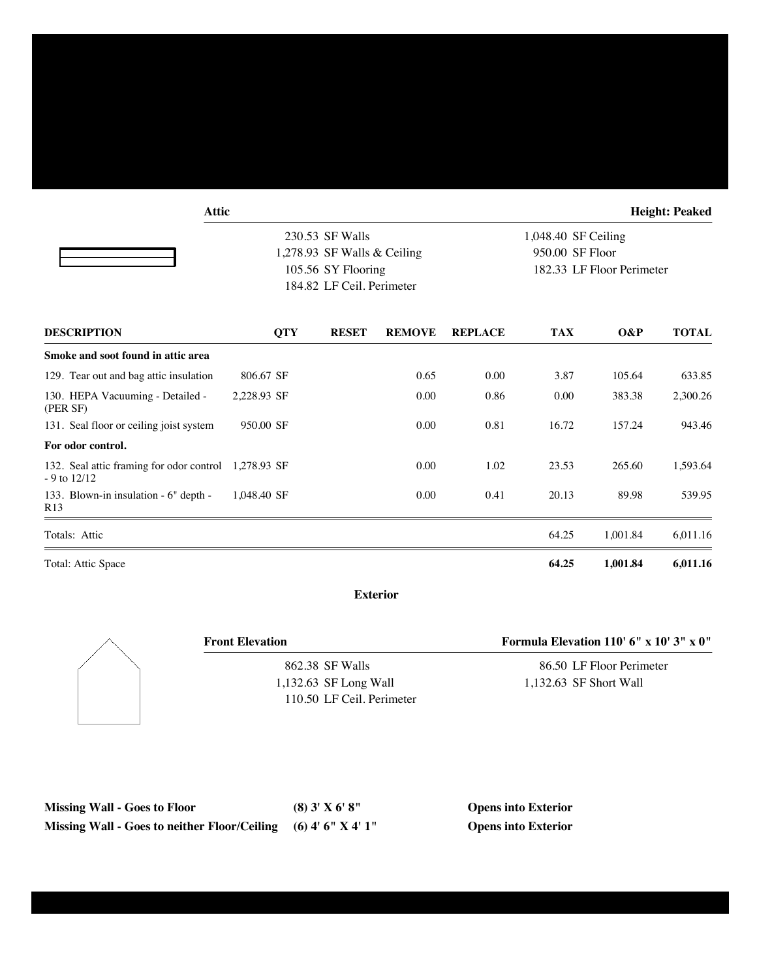| <b>Attic</b>                                                            |             |                                                                                                   |               |                |                                                                     |          | <b>Height: Peaked</b> |
|-------------------------------------------------------------------------|-------------|---------------------------------------------------------------------------------------------------|---------------|----------------|---------------------------------------------------------------------|----------|-----------------------|
|                                                                         |             | 230.53 SF Walls<br>1,278.93 SF Walls & Ceiling<br>105.56 SY Flooring<br>184.82 LF Ceil. Perimeter |               |                | 1,048.40 SF Ceiling<br>950.00 SF Floor<br>182.33 LF Floor Perimeter |          |                       |
| <b>DESCRIPTION</b>                                                      | <b>QTY</b>  | <b>RESET</b>                                                                                      | <b>REMOVE</b> | <b>REPLACE</b> | <b>TAX</b>                                                          | $O\&P$   | <b>TOTAL</b>          |
| Smoke and soot found in attic area                                      |             |                                                                                                   |               |                |                                                                     |          |                       |
| 129. Tear out and bag attic insulation                                  | 806.67 SF   |                                                                                                   | 0.65          | 0.00           | 3.87                                                                | 105.64   | 633.85                |
| 130. HEPA Vacuuming - Detailed -<br>(PER SF)                            | 2,228.93 SF |                                                                                                   | 0.00          | 0.86           | 0.00                                                                | 383.38   | 2,300.26              |
| 131. Seal floor or ceiling joist system                                 | 950.00 SF   |                                                                                                   | 0.00          | 0.81           | 16.72                                                               | 157.24   | 943.46                |
| For odor control.                                                       |             |                                                                                                   |               |                |                                                                     |          |                       |
| 132. Seal attic framing for odor control 1,278.93 SF<br>$-9$ to $12/12$ |             |                                                                                                   | 0.00          | 1.02           | 23.53                                                               | 265.60   | 1,593.64              |
| 133. Blown-in insulation - 6" depth -<br>R <sub>13</sub>                | 1,048.40 SF |                                                                                                   | 0.00          | 0.41           | 20.13                                                               | 89.98    | 539.95                |
| Totals: Attic                                                           |             |                                                                                                   |               |                | 64.25                                                               | 1,001.84 | 6,011.16              |
| Total: Attic Space                                                      |             |                                                                                                   |               |                | 64.25                                                               | 1,001.84 | 6,011.16              |

**Exterior**



862.38 SF Walls 1,132.63 SF Long Wall 110.50 LF Ceil. Perimeter

**Front Elevation Formula Elevation 110' 6" x 10' 3" x 0"**

86.50 LF Floor Perimeter 1,132.63 SF Short Wall

| <b>Missing Wall - Goes to Floor</b>                              | $(8)$ 3' X 6' 8" | <b>Opens into Exterior</b> |
|------------------------------------------------------------------|------------------|----------------------------|
| Missing Wall - Goes to neither Floor/Ceiling $(6)$ 4' 6" X 4' 1" |                  | <b>Opens into Exterior</b> |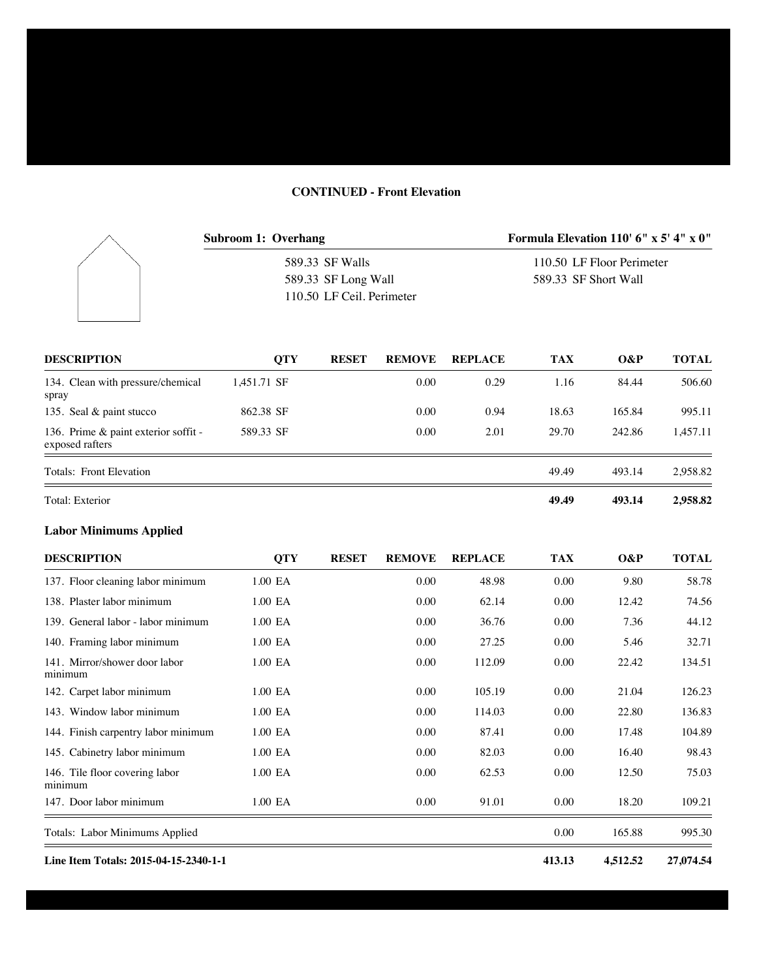## **CONTINUED - Front Elevation**

|                                                         | <b>Subroom 1: Overhang</b> |            |                           |               | Formula Elevation 110' $6'' \times 5'$ 4" $\times$ 0" |                           |                      |              |  |
|---------------------------------------------------------|----------------------------|------------|---------------------------|---------------|-------------------------------------------------------|---------------------------|----------------------|--------------|--|
|                                                         |                            |            | 589.33 SF Walls           |               |                                                       | 110.50 LF Floor Perimeter |                      |              |  |
|                                                         |                            |            | 589.33 SF Long Wall       |               |                                                       |                           | 589.33 SF Short Wall |              |  |
|                                                         |                            |            | 110.50 LF Ceil. Perimeter |               |                                                       |                           |                      |              |  |
| <b>DESCRIPTION</b>                                      |                            | <b>OTY</b> | <b>RESET</b>              | <b>REMOVE</b> | <b>REPLACE</b>                                        | <b>TAX</b>                | $O\&P$               | <b>TOTAL</b> |  |
| 134. Clean with pressure/chemical<br>spray              | 1,451.71 SF                |            |                           | 0.00          | 0.29                                                  | 1.16                      | 84.44                | 506.60       |  |
| 135. Seal & paint stucco                                | 862.38 SF                  |            |                           | 0.00          | 0.94                                                  | 18.63                     | 165.84               | 995.11       |  |
| 136. Prime & paint exterior soffit -<br>exposed rafters | 589.33 SF                  |            |                           | 0.00          | 2.01                                                  | 29.70                     | 242.86               | 1,457.11     |  |

| Total: Exterior         | 49.49 | 493.14 | 2,958.82 |
|-------------------------|-------|--------|----------|
| Totals: Front Elevation | 49.49 | 493.14 | 2.958.82 |
|                         |       |        |          |

## **Labor Minimums Applied**

| <b>DESCRIPTION</b>                        | <b>QTY</b> | <b>RESET</b> | <b>REMOVE</b> | <b>REPLACE</b> | <b>TAX</b> | O&P      | <b>TOTAL</b> |
|-------------------------------------------|------------|--------------|---------------|----------------|------------|----------|--------------|
| 137. Floor cleaning labor minimum         | 1.00 EA    |              | 0.00          | 48.98          | 0.00       | 9.80     | 58.78        |
| 138. Plaster labor minimum                | 1.00 EA    |              | 0.00          | 62.14          | 0.00       | 12.42    | 74.56        |
| 139. General labor - labor minimum        | 1.00 EA    |              | 0.00          | 36.76          | 0.00       | 7.36     | 44.12        |
| 140. Framing labor minimum                | 1.00 EA    |              | 0.00          | 27.25          | 0.00       | 5.46     | 32.71        |
| 141. Mirror/shower door labor<br>minimum  | 1.00 EA    |              | 0.00          | 112.09         | 0.00       | 22.42    | 134.51       |
| 142. Carpet labor minimum                 | 1.00 EA    |              | 0.00          | 105.19         | 0.00       | 21.04    | 126.23       |
| 143. Window labor minimum                 | 1.00 EA    |              | 0.00          | 114.03         | 0.00       | 22.80    | 136.83       |
| 144. Finish carpentry labor minimum       | 1.00 EA    |              | 0.00          | 87.41          | 0.00       | 17.48    | 104.89       |
| 145. Cabinetry labor minimum              | 1.00 EA    |              | 0.00          | 82.03          | 0.00       | 16.40    | 98.43        |
| 146. Tile floor covering labor<br>minimum | 1.00 EA    |              | 0.00          | 62.53          | 0.00       | 12.50    | 75.03        |
| 147. Door labor minimum                   | 1.00 EA    |              | 0.00          | 91.01          | 0.00       | 18.20    | 109.21       |
| Totals: Labor Minimums Applied            |            |              |               |                | 0.00       | 165.88   | 995.30       |
| Line Item Totals: 2015-04-15-2340-1-1     |            |              |               |                | 413.13     | 4,512.52 | 27,074.54    |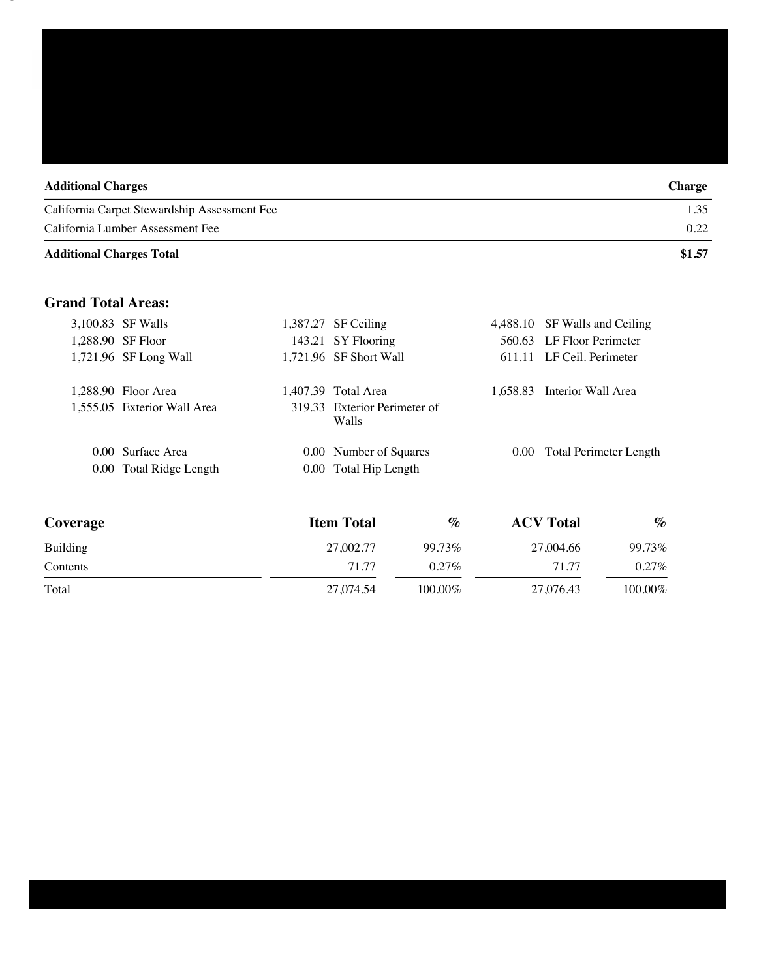| <b>Additional Charges</b>                    | <b>Charge</b> |
|----------------------------------------------|---------------|
| California Carpet Stewardship Assessment Fee | 1.35          |
| California Lumber Assessment Fee             | 0.22          |
| <b>Additional Charges Total</b>              | \$1.57        |

## **Grand Total Areas:**

|  | 3,100.83 SF Walls           | 1,387.27 SF Ceiling                   | 4,488.10 SF Walls and Ceiling |
|--|-----------------------------|---------------------------------------|-------------------------------|
|  | 1,288.90 SF Floor           | 143.21 SY Flooring                    | 560.63 LF Floor Perimeter     |
|  | 1,721.96 SF Long Wall       | 1,721.96 SF Short Wall                | 611.11 LF Ceil. Perimeter     |
|  | 1.288.90 Floor Area         | 1.407.39 Total Area                   | 1.658.83 Interior Wall Area   |
|  | 1,555.05 Exterior Wall Area | 319.33 Exterior Perimeter of<br>Walls |                               |
|  | 0.00 Surface Area           | 0.00 Number of Squares                | 0.00 Total Perimeter Length   |
|  | 0.00 Total Ridge Length     | 0.00 Total Hip Length                 |                               |
|  |                             |                                       |                               |

| Coverage | <b>Item Total</b> | %        | <b>ACV</b> Total | $\%$    |
|----------|-------------------|----------|------------------|---------|
| Building | 27,002.77         | 99.73%   | 27,004.66        | 99.73%  |
| Contents | 71.77             | $0.27\%$ | 71.77            | 0.27%   |
| Total    | 27.074.54         | 100.00%  | 27,076.43        | 100.00% |